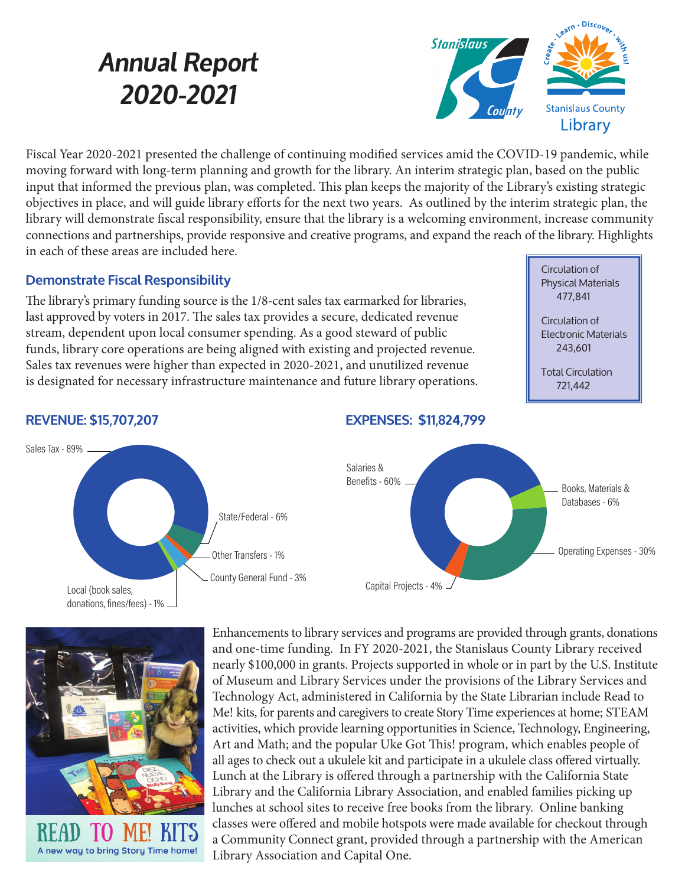# *Annual Report 2020-2021*



Fiscal Year 2020-2021 presented the challenge of continuing modified services amid the COVID-19 pandemic, while moving forward with long-term planning and growth for the library. An interim strategic plan, based on the public input that informed the previous plan, was completed. This plan keeps the majority of the Library's existing strategic objectives in place, and will guide library efforts for the next two years. As outlined by the interim strategic plan, the library will demonstrate fiscal responsibility, ensure that the library is a welcoming environment, increase community connections and partnerships, provide responsive and creative programs, and expand the reach of the library. Highlights in each of these areas are included here.

### **Demonstrate Fiscal Responsibility**

The library's primary funding source is the 1/8-cent sales tax earmarked for libraries, last approved by voters in 2017. The sales tax provides a secure, dedicated revenue stream, dependent upon local consumer spending. As a good steward of public funds, library core operations are being aligned with existing and projected revenue. Sales tax revenues were higher than expected in 2020-2021, and unutilized revenue is designated for necessary infrastructure maintenance and future library operations. Circulation of Physical Materials 477,841

Circulation of Electronic Materials 243,601

Total Circulation 721,442



#### **REVENUE: \$15,707,207**



Enhancements to library services and programs are provided through grants, donations and one-time funding. In FY 2020-2021, the Stanislaus County Library received nearly \$100,000 in grants. Projects supported in whole or in part by the U.S. Institute of Museum and Library Services under the provisions of the Library Services and Technology Act, administered in California by the State Librarian include Read to Me! kits, for parents and caregivers to create Story Time experiences at home; STEAM activities, which provide learning opportunities in Science, Technology, Engineering, Art and Math; and the popular Uke Got This! program, which enables people of all ages to check out a ukulele kit and participate in a ukulele class offered virtually. Lunch at the Library is offered through a partnership with the California State Library and the California Library Association, and enabled families picking up lunches at school sites to receive free books from the library. Online banking classes were offered and mobile hotspots were made available for checkout through a Community Connect grant, provided through a partnership with the American Library Association and Capital One.

#### **EXPENSES: \$11,824,799**